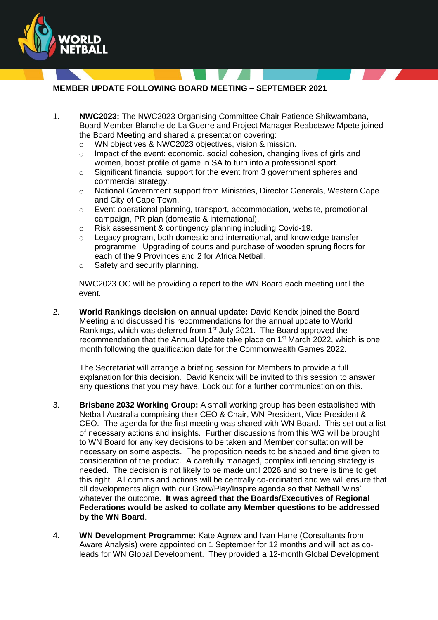

**MEMBER UPDATE FOLLOWING BOARD MEETING – SEPTEMBER 2021**

- 1. **NWC2023:** The NWC2023 Organising Committee Chair Patience Shikwambana, Board Member Blanche de La Guerre and Project Manager Reabetswe Mpete joined the Board Meeting and shared a presentation covering:
	- o WN objectives & NWC2023 objectives, vision & mission.
	- o Impact of the event: economic, social cohesion, changing lives of girls and women, boost profile of game in SA to turn into a professional sport.
	- $\circ$  Significant financial support for the event from 3 government spheres and commercial strategy.
	- o National Government support from Ministries, Director Generals, Western Cape and City of Cape Town.
	- o Event operational planning, transport, accommodation, website, promotional campaign, PR plan (domestic & international).
	- o Risk assessment & contingency planning including Covid-19.
	- o Legacy program, both domestic and international, and knowledge transfer programme. Upgrading of courts and purchase of wooden sprung floors for each of the 9 Provinces and 2 for Africa Netball.
	- o Safety and security planning.

NWC2023 OC will be providing a report to the WN Board each meeting until the event.

2. **World Rankings decision on annual update:** David Kendix joined the Board Meeting and discussed his recommendations for the annual update to World Rankings, which was deferred from 1<sup>st</sup> July 2021. The Board approved the recommendation that the Annual Update take place on 1<sup>st</sup> March 2022, which is one month following the qualification date for the Commonwealth Games 2022.

The Secretariat will arrange a briefing session for Members to provide a full explanation for this decision. David Kendix will be invited to this session to answer any questions that you may have. Look out for a further communication on this.

- 3. **Brisbane 2032 Working Group:** A small working group has been established with Netball Australia comprising their CEO & Chair, WN President, Vice-President & CEO. The agenda for the first meeting was shared with WN Board. This set out a list of necessary actions and insights. Further discussions from this WG will be brought to WN Board for any key decisions to be taken and Member consultation will be necessary on some aspects. The proposition needs to be shaped and time given to consideration of the product. A carefully managed, complex influencing strategy is needed. The decision is not likely to be made until 2026 and so there is time to get this right. All comms and actions will be centrally co-ordinated and we will ensure that all developments align with our Grow/Play/Inspire agenda so that Netball 'wins' whatever the outcome. **It was agreed that the Boards/Executives of Regional Federations would be asked to collate any Member questions to be addressed by the WN Board**.
- 4. **WN Development Programme:** Kate Agnew and Ivan Harre (Consultants from Aware Analysis) were appointed on 1 September for 12 months and will act as coleads for WN Global Development. They provided a 12-month Global Development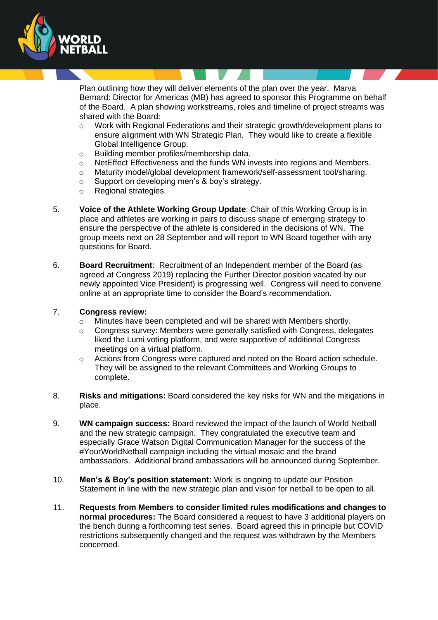

Plan outlining how they will deliver elements of the plan over the year. Marva Bernard: Director for Americas (MB) has agreed to sponsor this Programme on behalf of the Board. A plan showing workstreams, roles and timeline of project streams was shared with the Board:

- o Work with Regional Federations and their strategic growth/development plans to ensure alignment with WN Strategic Plan. They would like to create a flexible Global Intelligence Group.
- o Building member profiles/membership data.
- $\circ$  NetEffect Effectiveness and the funds WN invests into regions and Members.
- o Maturity model/global development framework/self-assessment tool/sharing.
- o Support on developing men's & boy's strategy.
- o Regional strategies.
- 5. **Voice of the Athlete Working Group Update**: Chair of this Working Group is in place and athletes are working in pairs to discuss shape of emerging strategy to ensure the perspective of the athlete is considered in the decisions of WN. The group meets next on 28 September and will report to WN Board together with any questions for Board.
- 6. **Board Recruitment**: Recruitment of an Independent member of the Board (as agreed at Congress 2019) replacing the Further Director position vacated by our newly appointed Vice President) is progressing well. Congress will need to convene online at an appropriate time to consider the Board's recommendation.

## 7. **Congress review:**

- $\circ$  Minutes have been completed and will be shared with Members shortly.
- $\circ$  Congress survey: Members were generally satisfied with Congress, delegates liked the Lumi voting platform, and were supportive of additional Congress meetings on a virtual platform.
- o Actions from Congress were captured and noted on the Board action schedule. They will be assigned to the relevant Committees and Working Groups to complete.
- 8. **Risks and mitigations:** Board considered the key risks for WN and the mitigations in place.
- 9. **WN campaign success:** Board reviewed the impact of the launch of World Netball and the new strategic campaign. They congratulated the executive team and especially Grace Watson Digital Communication Manager for the success of the #YourWorldNetball campaign including the virtual mosaic and the brand ambassadors. Additional brand ambassadors will be announced during September.
- 10. **Men's & Boy's position statement:** Work is ongoing to update our Position Statement in line with the new strategic plan and vision for netball to be open to all.
- 11. **Requests from Members to consider limited rules modifications and changes to normal procedures:** The Board considered a request to have 3 additional players on the bench during a forthcoming test series. Board agreed this in principle but COVID restrictions subsequently changed and the request was withdrawn by the Members concerned.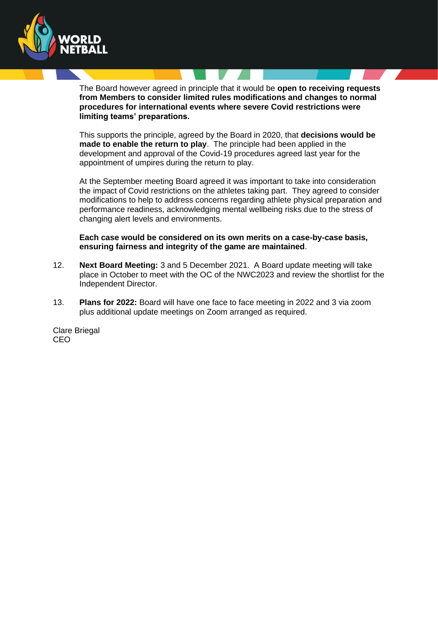

The Board however agreed in principle that it would be **open to receiving requests from Members to consider limited rules modifications and changes to normal procedures for international events where severe Covid restrictions were limiting teams' preparations.**

This supports the principle, agreed by the Board in 2020, that **decisions would be made to enable the return to play**. The principle had been applied in the development and approval of the Covid-19 procedures agreed last year for the appointment of umpires during the return to play.

At the September meeting Board agreed it was important to take into consideration the impact of Covid restrictions on the athletes taking part. They agreed to consider modifications to help to address concerns regarding athlete physical preparation and performance readiness, acknowledging mental wellbeing risks due to the stress of changing alert levels and environments.

**Each case would be considered on its own merits on a case-by-case basis, ensuring fairness and integrity of the game are maintained**.

- 12. **Next Board Meeting:** 3 and 5 December 2021. A Board update meeting will take place in October to meet with the OC of the NWC2023 and review the shortlist for the Independent Director.
- 13. **Plans for 2022:** Board will have one face to face meeting in 2022 and 3 via zoom plus additional update meetings on Zoom arranged as required.

Clare Briegal CEO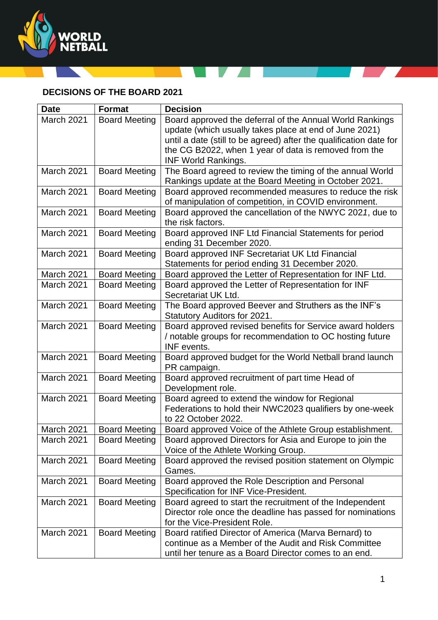

## **DECISIONS OF THE BOARD 2021**

A

Z.

| <b>Date</b>       | <b>Format</b>        | <b>Decision</b>                                                                                                      |
|-------------------|----------------------|----------------------------------------------------------------------------------------------------------------------|
| <b>March 2021</b> | <b>Board Meeting</b> | Board approved the deferral of the Annual World Rankings                                                             |
|                   |                      | update (which usually takes place at end of June 2021)                                                               |
|                   |                      | until a date (still to be agreed) after the qualification date for                                                   |
|                   |                      | the CG B2022, when 1 year of data is removed from the                                                                |
|                   |                      | <b>INF World Rankings.</b>                                                                                           |
| March 2021        | <b>Board Meeting</b> | The Board agreed to review the timing of the annual World<br>Rankings update at the Board Meeting in October 2021.   |
| March 2021        | <b>Board Meeting</b> | Board approved recommended measures to reduce the risk<br>of manipulation of competition, in COVID environment.      |
| <b>March 2021</b> | <b>Board Meeting</b> | Board approved the cancellation of the NWYC 2021, due to<br>the risk factors.                                        |
| March 2021        | <b>Board Meeting</b> | Board approved INF Ltd Financial Statements for period<br>ending 31 December 2020.                                   |
| March 2021        | <b>Board Meeting</b> | Board approved INF Secretariat UK Ltd Financial                                                                      |
|                   |                      | Statements for period ending 31 December 2020.                                                                       |
| March 2021        | <b>Board Meeting</b> | Board approved the Letter of Representation for INF Ltd.                                                             |
| <b>March 2021</b> | <b>Board Meeting</b> | Board approved the Letter of Representation for INF                                                                  |
|                   |                      | Secretariat UK Ltd.                                                                                                  |
| March 2021        | <b>Board Meeting</b> | The Board approved Beever and Struthers as the INF's                                                                 |
|                   |                      | Statutory Auditors for 2021.                                                                                         |
| March 2021        | <b>Board Meeting</b> | Board approved revised benefits for Service award holders                                                            |
|                   |                      | / notable groups for recommendation to OC hosting future<br>INF events.                                              |
| March 2021        | <b>Board Meeting</b> | Board approved budget for the World Netball brand launch<br>PR campaign.                                             |
| March 2021        | <b>Board Meeting</b> | Board approved recruitment of part time Head of<br>Development role.                                                 |
| March 2021        | <b>Board Meeting</b> | Board agreed to extend the window for Regional                                                                       |
|                   |                      | Federations to hold their NWC2023 qualifiers by one-week<br>to 22 October 2022.                                      |
| March 2021        | <b>Board Meeting</b> |                                                                                                                      |
| <b>March 2021</b> | <b>Board Meeting</b> | Board approved Voice of the Athlete Group establishment.<br>Board approved Directors for Asia and Europe to join the |
|                   |                      | Voice of the Athlete Working Group.                                                                                  |
| March 2021        | <b>Board Meeting</b> | Board approved the revised position statement on Olympic                                                             |
|                   |                      | Games.                                                                                                               |
| March 2021        | <b>Board Meeting</b> | Board approved the Role Description and Personal                                                                     |
|                   |                      | Specification for INF Vice-President.                                                                                |
| March 2021        | <b>Board Meeting</b> | Board agreed to start the recruitment of the Independent                                                             |
|                   |                      | Director role once the deadline has passed for nominations                                                           |
|                   |                      | for the Vice-President Role.                                                                                         |
| <b>March 2021</b> | <b>Board Meeting</b> | Board ratified Director of America (Marva Bernard) to                                                                |
|                   |                      | continue as a Member of the Audit and Risk Committee                                                                 |
|                   |                      | until her tenure as a Board Director comes to an end.                                                                |

**Contract Contract Contract**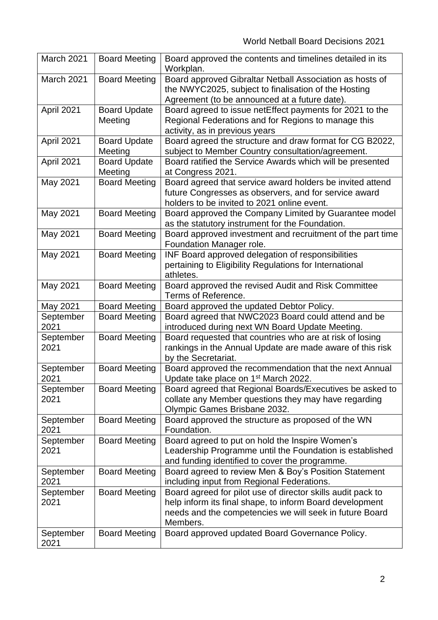| March 2021        | <b>Board Meeting</b> | Board approved the contents and timelines detailed in its<br>Workplan.                                           |
|-------------------|----------------------|------------------------------------------------------------------------------------------------------------------|
| <b>March 2021</b> | <b>Board Meeting</b> | Board approved Gibraltar Netball Association as hosts of<br>the NWYC2025, subject to finalisation of the Hosting |
|                   |                      | Agreement (to be announced at a future date).                                                                    |
| April 2021        | <b>Board Update</b>  | Board agreed to issue netEffect payments for 2021 to the                                                         |
|                   | Meeting              | Regional Federations and for Regions to manage this                                                              |
|                   |                      | activity, as in previous years                                                                                   |
| April 2021        | <b>Board Update</b>  | Board agreed the structure and draw format for CG B2022,                                                         |
|                   | Meeting              | subject to Member Country consultation/agreement.                                                                |
| April 2021        | <b>Board Update</b>  | Board ratified the Service Awards which will be presented                                                        |
|                   | Meeting              | at Congress 2021.                                                                                                |
| May 2021          | <b>Board Meeting</b> | Board agreed that service award holders be invited attend                                                        |
|                   |                      | future Congresses as observers, and for service award                                                            |
|                   |                      | holders to be invited to 2021 online event.                                                                      |
| May 2021          | <b>Board Meeting</b> | Board approved the Company Limited by Guarantee model                                                            |
|                   |                      | as the statutory instrument for the Foundation.                                                                  |
| May 2021          | <b>Board Meeting</b> | Board approved investment and recruitment of the part time                                                       |
|                   |                      | Foundation Manager role.                                                                                         |
| May 2021          | <b>Board Meeting</b> | INF Board approved delegation of responsibilities                                                                |
|                   |                      | pertaining to Eligibility Regulations for International                                                          |
|                   |                      | athletes.                                                                                                        |
| May 2021          | <b>Board Meeting</b> | Board approved the revised Audit and Risk Committee                                                              |
|                   |                      | Terms of Reference.                                                                                              |
| May 2021          | <b>Board Meeting</b> | Board approved the updated Debtor Policy.                                                                        |
| September         | <b>Board Meeting</b> | Board agreed that NWC2023 Board could attend and be                                                              |
| 2021              |                      | introduced during next WN Board Update Meeting.                                                                  |
| September         | <b>Board Meeting</b> | Board requested that countries who are at risk of losing                                                         |
| 2021              |                      | rankings in the Annual Update are made aware of this risk                                                        |
|                   |                      | by the Secretariat.                                                                                              |
| September         | <b>Board Meeting</b> | Board approved the recommendation that the next Annual                                                           |
| 2021              |                      | Update take place on 1 <sup>st</sup> March 2022.                                                                 |
| September         | <b>Board Meeting</b> | Board agreed that Regional Boards/Executives be asked to                                                         |
| 2021              |                      | collate any Member questions they may have regarding                                                             |
|                   |                      | Olympic Games Brisbane 2032.                                                                                     |
| September<br>2021 | <b>Board Meeting</b> | Board approved the structure as proposed of the WN<br>Foundation.                                                |
| September         | <b>Board Meeting</b> | Board agreed to put on hold the Inspire Women's                                                                  |
| 2021              |                      | Leadership Programme until the Foundation is established                                                         |
|                   |                      | and funding identified to cover the programme.                                                                   |
| September         | <b>Board Meeting</b> | Board agreed to review Men & Boy's Position Statement                                                            |
| 2021              |                      | including input from Regional Federations.                                                                       |
| September         | <b>Board Meeting</b> | Board agreed for pilot use of director skills audit pack to                                                      |
| 2021              |                      | help inform its final shape, to inform Board development                                                         |
|                   |                      | needs and the competencies we will seek in future Board                                                          |
|                   |                      | Members.                                                                                                         |
| September         | <b>Board Meeting</b> | Board approved updated Board Governance Policy.                                                                  |
| 2021              |                      |                                                                                                                  |